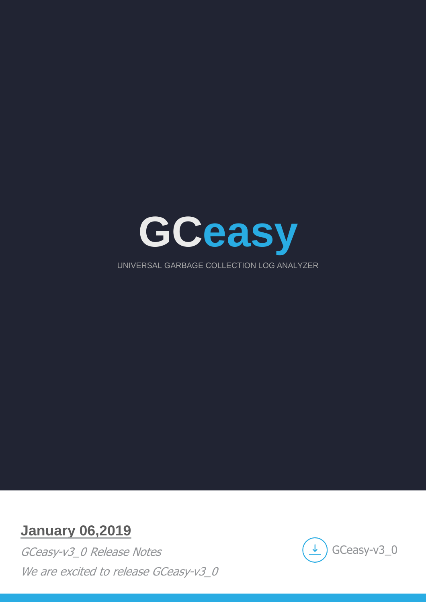

# **January 06,2019**

GCeasy-v3\_0 Release Notes We are excited to release GCeasy-v3\_0

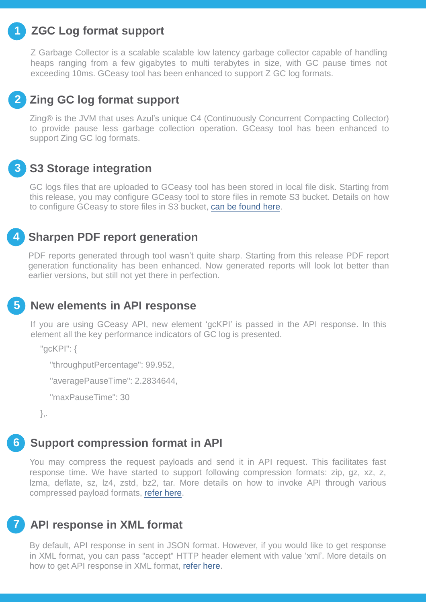#### **ZGC Log format support 1**

Z Garbage Collector is a scalable scalable low latency garbage collector capable of handling heaps ranging from a few gigabytes to multi terabytes in size, with GC pause times not exceeding 10ms. GCeasy tool has been enhanced to support Z GC log formats.

## **2** Zing GC log format support

Zing® is the JVM that uses Azul"s unique C4 (Continuously Concurrent Compacting Collector) to provide pause less garbage collection operation. GCeasy tool has been enhanced to support Zing GC log formats.

#### **S3 Storage integration 3**

GC logs files that are uploaded to GCeasy tool has been stored in local file disk. Starting from this release, you may configure GCeasy tool to store files in remote S3 bucket. Details on how to configure GCeasy to store files in S3 bucket, [can](https://blog.tier1app.com/2016/10/30/enterprise-edition-admin-manual/) [be](https://blog.tier1app.com/2016/10/30/enterprise-edition-admin-manual/) [found](https://blog.tier1app.com/2016/10/30/enterprise-edition-admin-manual/) [here](https://blog.tier1app.com/2016/10/30/enterprise-edition-admin-manual/).

### **Sharpen PDF report generation 4**

PDF reports generated through tool wasn't quite sharp. Starting from this release PDF report generation functionality has been enhanced. Now generated reports will look lot better than earlier versions, but still not yet there in perfection.

### **New elements in API response 5**

If you are using GCeasy API, new element "gcKPI" is passed in the API response. In this element all the key performance indicators of GC log is presented.

"gcKPI": {

"throughputPercentage": 99.952,

"averagePauseTime": 2.2834644,

"maxPauseTime": 30

},.

**7**

#### **Support compression format in API 6**

You may compress the request payloads and send it in API request. This facilitates fast response time. We have started to support following compression formats: zip, gz, xz, z, lzma, deflate, sz, lz4, zstd, bz2, tar. More details on how to invoke API through various compressed payload formats, [refer](https://blog.gceasy.io/2016/06/18/garbage-collection-log-analysis-api/) [here.](https://blog.gceasy.io/2016/06/18/garbage-collection-log-analysis-api/)

### **API response in XML format**

By default, API response in sent in JSON format. However, if you would like to get response in XML format, you can pass "accept" HTTP header element with value "xml". More details on how to get API response in XML format, [refer](https://blog.gceasy.io/2016/06/18/garbage-collection-log-analysis-api/) [here.](https://blog.gceasy.io/2016/06/18/garbage-collection-log-analysis-api/)